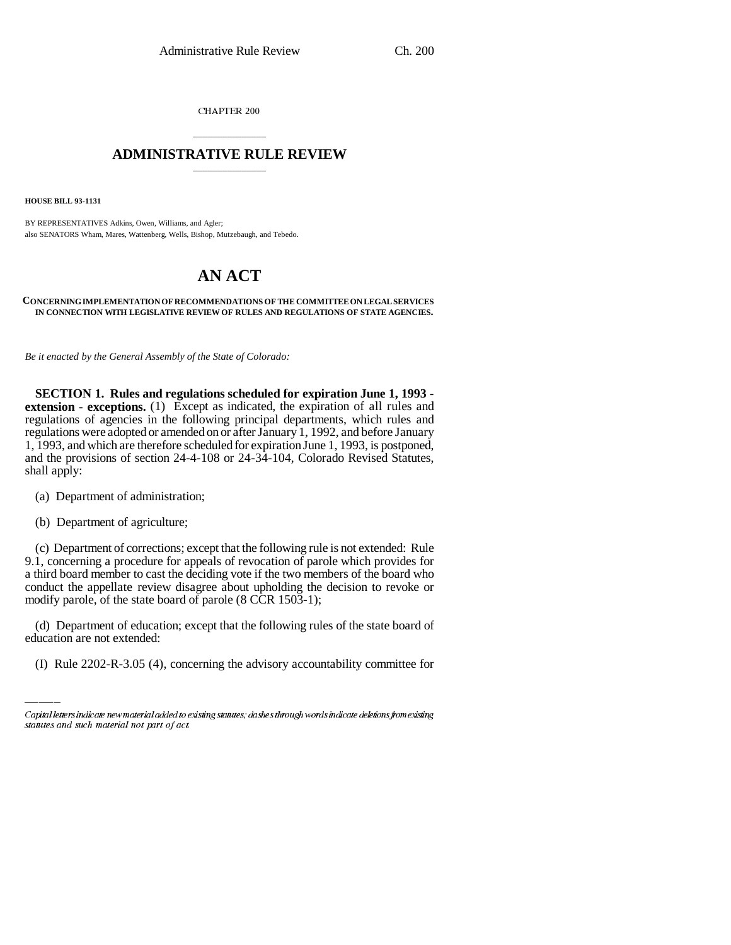CHAPTER 200

## \_\_\_\_\_\_\_\_\_\_\_\_\_\_\_ **ADMINISTRATIVE RULE REVIEW** \_\_\_\_\_\_\_\_\_\_\_\_\_\_\_

**HOUSE BILL 93-1131**

BY REPRESENTATIVES Adkins, Owen, Williams, and Agler; also SENATORS Wham, Mares, Wattenberg, Wells, Bishop, Mutzebaugh, and Tebedo.

# **AN ACT**

#### **CONCERNING IMPLEMENTATION OF RECOMMENDATIONS OF THE COMMITTEE ON LEGAL SERVICES IN CONNECTION WITH LEGISLATIVE REVIEW OF RULES AND REGULATIONS OF STATE AGENCIES.**

*Be it enacted by the General Assembly of the State of Colorado:*

**SECTION 1. Rules and regulations scheduled for expiration June 1, 1993 extension - exceptions.** (1) Except as indicated, the expiration of all rules and regulations of agencies in the following principal departments, which rules and regulations were adopted or amended on or after January 1, 1992, and before January 1, 1993, and which are therefore scheduled for expiration June 1, 1993, is postponed, and the provisions of section 24-4-108 or 24-34-104, Colorado Revised Statutes, shall apply:

- (a) Department of administration;
- (b) Department of agriculture;

(c) Department of corrections; except that the following rule is not extended: Rule 9.1, concerning a procedure for appeals of revocation of parole which provides for a third board member to cast the deciding vote if the two members of the board who conduct the appellate review disagree about upholding the decision to revoke or modify parole, of the state board of parole (8 CCR 1503-1);

(d) Department of education; except that the following rules of the state board of education are not extended:

(I) Rule 2202-R-3.05 (4), concerning the advisory accountability committee for

Capital letters indicate new material added to existing statutes; dashes through words indicate deletions from existing statutes and such material not part of act.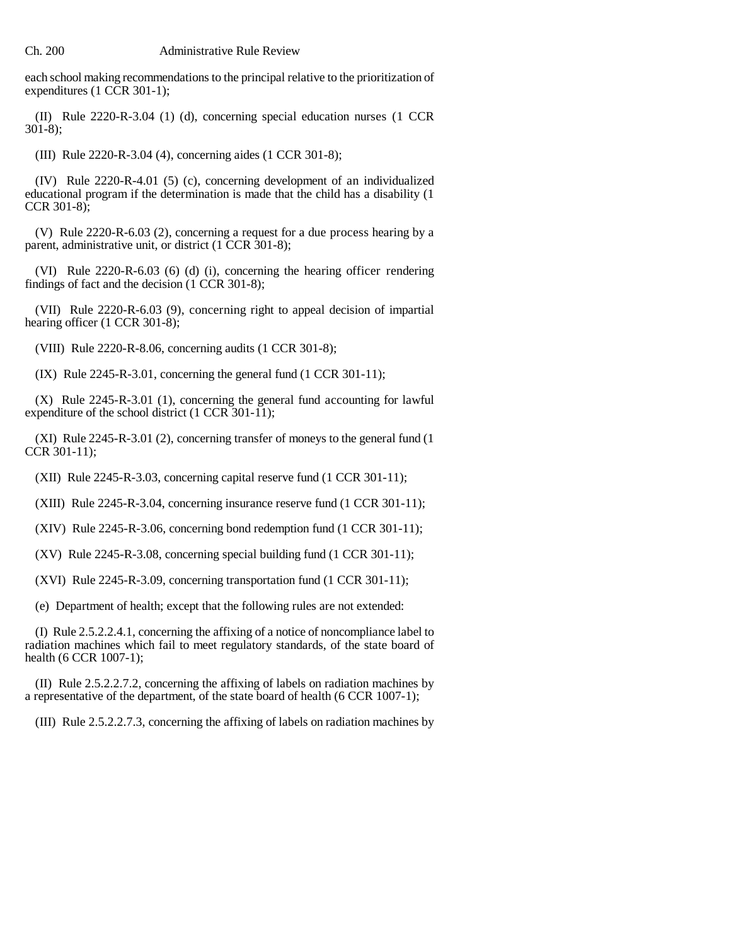each school making recommendations to the principal relative to the prioritization of expenditures (1 CCR 301-1);

(II) Rule 2220-R-3.04 (1) (d), concerning special education nurses (1 CCR 301-8);

(III) Rule 2220-R-3.04 (4), concerning aides (1 CCR 301-8);

(IV) Rule 2220-R-4.01 (5) (c), concerning development of an individualized educational program if the determination is made that the child has a disability (1 CCR 301-8);

(V) Rule 2220-R-6.03 (2), concerning a request for a due process hearing by a parent, administrative unit, or district (1 CCR 301-8);

(VI) Rule 2220-R-6.03 (6) (d) (i), concerning the hearing officer rendering findings of fact and the decision (1 CCR 301-8);

(VII) Rule 2220-R-6.03 (9), concerning right to appeal decision of impartial hearing officer (1 CCR 301-8);

(VIII) Rule 2220-R-8.06, concerning audits (1 CCR 301-8);

(IX) Rule 2245-R-3.01, concerning the general fund (1 CCR 301-11);

(X) Rule 2245-R-3.01 (1), concerning the general fund accounting for lawful expenditure of the school district (1 CCR 301-11);

(XI) Rule 2245-R-3.01 (2), concerning transfer of moneys to the general fund (1 CCR 301-11);

(XII) Rule 2245-R-3.03, concerning capital reserve fund (1 CCR 301-11);

(XIII) Rule 2245-R-3.04, concerning insurance reserve fund (1 CCR 301-11);

(XIV) Rule 2245-R-3.06, concerning bond redemption fund (1 CCR 301-11);

(XV) Rule 2245-R-3.08, concerning special building fund (1 CCR 301-11);

(XVI) Rule 2245-R-3.09, concerning transportation fund (1 CCR 301-11);

(e) Department of health; except that the following rules are not extended:

(I) Rule 2.5.2.2.4.1, concerning the affixing of a notice of noncompliance label to radiation machines which fail to meet regulatory standards, of the state board of health (6 CCR 1007-1);

(II) Rule 2.5.2.2.7.2, concerning the affixing of labels on radiation machines by a representative of the department, of the state board of health (6 CCR 1007-1);

(III) Rule 2.5.2.2.7.3, concerning the affixing of labels on radiation machines by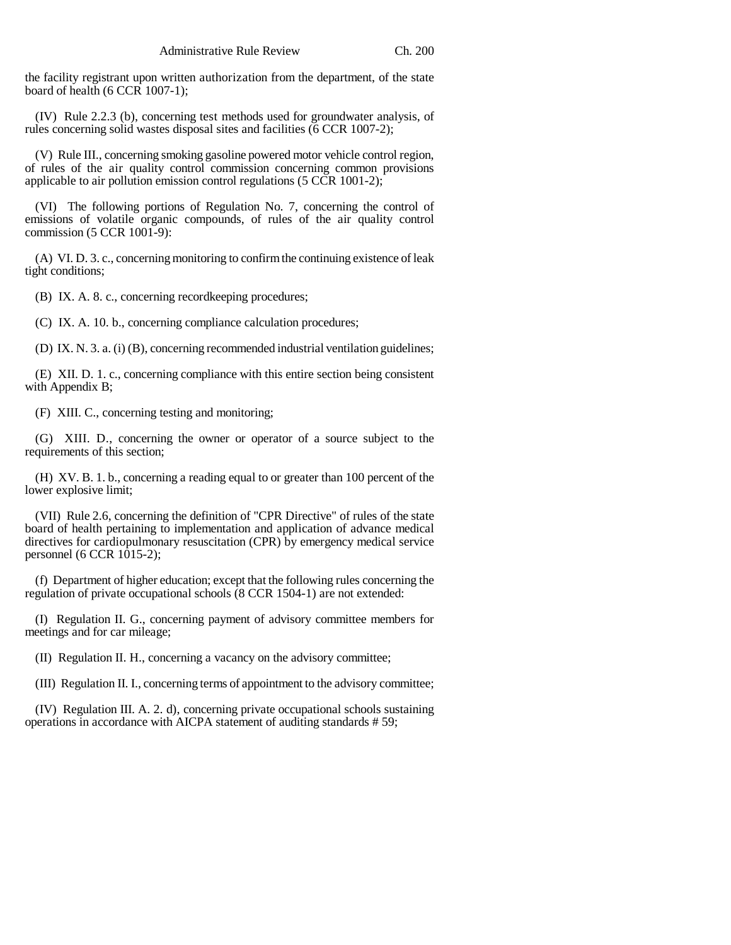the facility registrant upon written authorization from the department, of the state board of health (6 CCR 1007-1);

(IV) Rule 2.2.3 (b), concerning test methods used for groundwater analysis, of rules concerning solid wastes disposal sites and facilities (6 CCR 1007-2);

(V) Rule III., concerning smoking gasoline powered motor vehicle control region, of rules of the air quality control commission concerning common provisions applicable to air pollution emission control regulations  $(5 \text{ CCR } 1001-2);$ 

(VI) The following portions of Regulation No. 7, concerning the control of emissions of volatile organic compounds, of rules of the air quality control commission (5 CCR 1001-9):

(A) VI. D. 3. c., concerning monitoring to confirm the continuing existence of leak tight conditions;

(B) IX. A. 8. c., concerning recordkeeping procedures;

(C) IX. A. 10. b., concerning compliance calculation procedures;

(D) IX. N. 3. a. (i) (B), concerning recommended industrial ventilation guidelines;

(E) XII. D. 1. c., concerning compliance with this entire section being consistent with Appendix B;

(F) XIII. C., concerning testing and monitoring;

(G) XIII. D., concerning the owner or operator of a source subject to the requirements of this section;

(H) XV. B. 1. b., concerning a reading equal to or greater than 100 percent of the lower explosive limit;

(VII) Rule 2.6, concerning the definition of "CPR Directive" of rules of the state board of health pertaining to implementation and application of advance medical directives for cardiopulmonary resuscitation (CPR) by emergency medical service personnel (6 CCR 1015-2);

(f) Department of higher education; except that the following rules concerning the regulation of private occupational schools (8 CCR 1504-1) are not extended:

(I) Regulation II. G., concerning payment of advisory committee members for meetings and for car mileage;

(II) Regulation II. H., concerning a vacancy on the advisory committee;

(III) Regulation II. I., concerning terms of appointment to the advisory committee;

(IV) Regulation III. A. 2. d), concerning private occupational schools sustaining operations in accordance with AICPA statement of auditing standards # 59;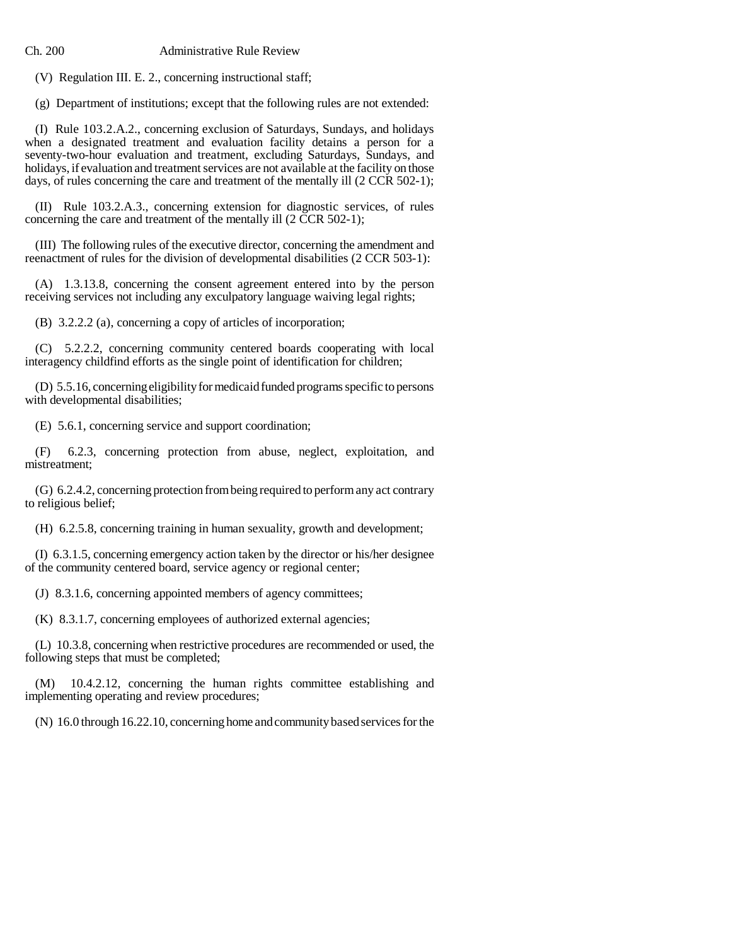Ch. 200 Administrative Rule Review

(V) Regulation III. E. 2., concerning instructional staff;

(g) Department of institutions; except that the following rules are not extended:

(I) Rule 103.2.A.2., concerning exclusion of Saturdays, Sundays, and holidays when a designated treatment and evaluation facility detains a person for a seventy-two-hour evaluation and treatment, excluding Saturdays, Sundays, and holidays, if evaluation and treatment services are not available at the facility on those days, of rules concerning the care and treatment of the mentally ill (2 CCR 502-1);

(II) Rule 103.2.A.3., concerning extension for diagnostic services, of rules concerning the care and treatment of the mentally ill (2 CCR 502-1);

(III) The following rules of the executive director, concerning the amendment and reenactment of rules for the division of developmental disabilities (2 CCR 503-1):

(A) 1.3.13.8, concerning the consent agreement entered into by the person receiving services not including any exculpatory language waiving legal rights;

(B) 3.2.2.2 (a), concerning a copy of articles of incorporation;

(C) 5.2.2.2, concerning community centered boards cooperating with local interagency childfind efforts as the single point of identification for children;

(D) 5.5.16, concerning eligibility for medicaid funded programs specific to persons with developmental disabilities;

(E) 5.6.1, concerning service and support coordination;

(F) 6.2.3, concerning protection from abuse, neglect, exploitation, and mistreatment;

(G) 6.2.4.2, concerning protection from being required to perform any act contrary to religious belief;

(H) 6.2.5.8, concerning training in human sexuality, growth and development;

(I) 6.3.1.5, concerning emergency action taken by the director or his/her designee of the community centered board, service agency or regional center;

(J) 8.3.1.6, concerning appointed members of agency committees;

(K) 8.3.1.7, concerning employees of authorized external agencies;

(L) 10.3.8, concerning when restrictive procedures are recommended or used, the following steps that must be completed;

(M) 10.4.2.12, concerning the human rights committee establishing and implementing operating and review procedures;

(N) 16.0 through 16.22.10, concerning home and community based services for the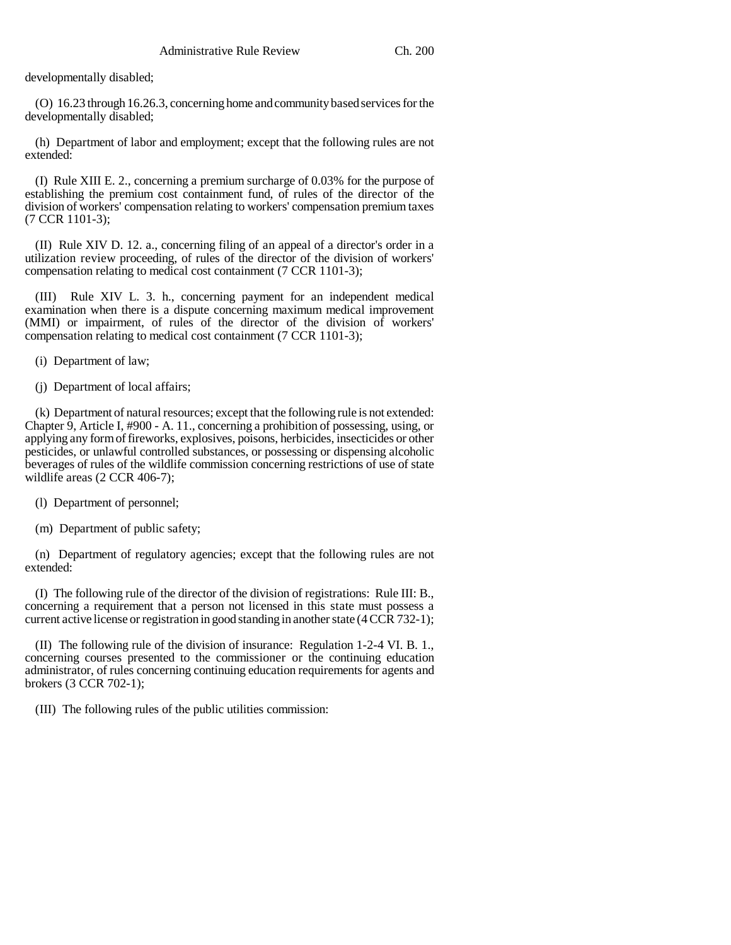developmentally disabled;

(O) 16.23 through 16.26.3, concerning home and community based services for the developmentally disabled;

(h) Department of labor and employment; except that the following rules are not extended:

(I) Rule XIII E. 2., concerning a premium surcharge of 0.03% for the purpose of establishing the premium cost containment fund, of rules of the director of the division of workers' compensation relating to workers' compensation premium taxes (7 CCR 1101-3);

(II) Rule XIV D. 12. a., concerning filing of an appeal of a director's order in a utilization review proceeding, of rules of the director of the division of workers' compensation relating to medical cost containment (7 CCR 1101-3);

(III) Rule XIV L. 3. h., concerning payment for an independent medical examination when there is a dispute concerning maximum medical improvement (MMI) or impairment, of rules of the director of the division of workers' compensation relating to medical cost containment (7 CCR 1101-3);

(i) Department of law;

(j) Department of local affairs;

(k) Department of natural resources; except that the following rule is not extended: Chapter 9, Article I, #900 - A. 11., concerning a prohibition of possessing, using, or applying any form of fireworks, explosives, poisons, herbicides, insecticides or other pesticides, or unlawful controlled substances, or possessing or dispensing alcoholic beverages of rules of the wildlife commission concerning restrictions of use of state wildlife areas (2 CCR 406-7);

(l) Department of personnel;

(m) Department of public safety;

(n) Department of regulatory agencies; except that the following rules are not extended:

(I) The following rule of the director of the division of registrations: Rule III: B., concerning a requirement that a person not licensed in this state must possess a current active license or registration in good standing in another state (4 CCR 732-1);

(II) The following rule of the division of insurance: Regulation 1-2-4 VI. B. 1., concerning courses presented to the commissioner or the continuing education administrator, of rules concerning continuing education requirements for agents and brokers (3 CCR 702-1);

(III) The following rules of the public utilities commission: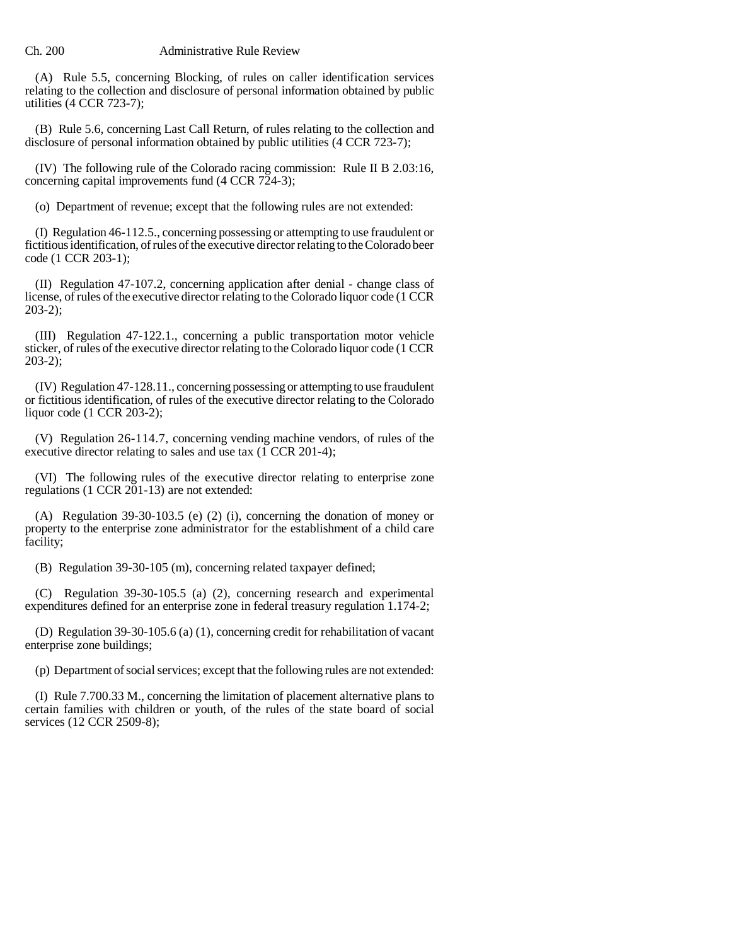### Ch. 200 Administrative Rule Review

(A) Rule 5.5, concerning Blocking, of rules on caller identification services relating to the collection and disclosure of personal information obtained by public utilities (4 CCR 723-7);

(B) Rule 5.6, concerning Last Call Return, of rules relating to the collection and disclosure of personal information obtained by public utilities (4 CCR 723-7);

(IV) The following rule of the Colorado racing commission: Rule II B 2.03:16, concerning capital improvements fund (4 CCR 724-3);

(o) Department of revenue; except that the following rules are not extended:

(I) Regulation 46-112.5., concerning possessing or attempting to use fraudulent or fictitious identification, of rules of the executive director relating to the Colorado beer code (1 CCR 203-1);

(II) Regulation 47-107.2, concerning application after denial - change class of license, of rules of the executive director relating to the Colorado liquor code (1 CCR 203-2);

(III) Regulation 47-122.1., concerning a public transportation motor vehicle sticker, of rules of the executive director relating to the Colorado liquor code (1 CCR 203-2);

(IV) Regulation 47-128.11., concerning possessing or attempting to use fraudulent or fictitious identification, of rules of the executive director relating to the Colorado liquor code (1 CCR 203-2);

(V) Regulation 26-114.7, concerning vending machine vendors, of rules of the executive director relating to sales and use tax (1 CCR 201-4);

(VI) The following rules of the executive director relating to enterprise zone regulations (1 CCR 201-13) are not extended:

(A) Regulation 39-30-103.5 (e) (2) (i), concerning the donation of money or property to the enterprise zone administrator for the establishment of a child care facility;

(B) Regulation 39-30-105 (m), concerning related taxpayer defined;

(C) Regulation 39-30-105.5 (a) (2), concerning research and experimental expenditures defined for an enterprise zone in federal treasury regulation 1.174-2;

(D) Regulation 39-30-105.6 (a) (1), concerning credit for rehabilitation of vacant enterprise zone buildings;

(p) Department of social services; except that the following rules are not extended:

(I) Rule 7.700.33 M., concerning the limitation of placement alternative plans to certain families with children or youth, of the rules of the state board of social services (12 CCR 2509-8);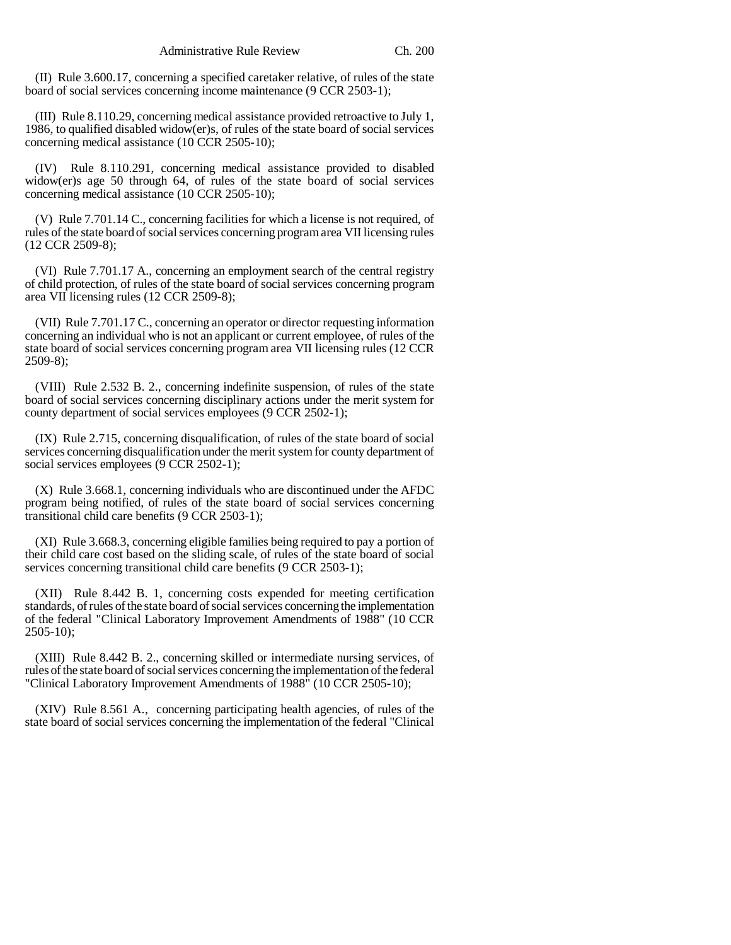(II) Rule 3.600.17, concerning a specified caretaker relative, of rules of the state board of social services concerning income maintenance (9 CCR 2503-1);

(III) Rule 8.110.29, concerning medical assistance provided retroactive to July 1, 1986, to qualified disabled widow(er)s, of rules of the state board of social services concerning medical assistance (10 CCR 2505-10);

(IV) Rule 8.110.291, concerning medical assistance provided to disabled widow(er)s age 50 through 64, of rules of the state board of social services concerning medical assistance (10 CCR 2505-10);

(V) Rule 7.701.14 C., concerning facilities for which a license is not required, of rules of the state board of social services concerning program area VII licensing rules (12 CCR 2509-8);

(VI) Rule 7.701.17 A., concerning an employment search of the central registry of child protection, of rules of the state board of social services concerning program area VII licensing rules (12 CCR 2509-8);

(VII) Rule 7.701.17 C., concerning an operator or director requesting information concerning an individual who is not an applicant or current employee, of rules of the state board of social services concerning program area VII licensing rules (12 CCR 2509-8);

(VIII) Rule 2.532 B. 2., concerning indefinite suspension, of rules of the state board of social services concerning disciplinary actions under the merit system for county department of social services employees (9 CCR 2502-1);

(IX) Rule 2.715, concerning disqualification, of rules of the state board of social services concerning disqualification under the merit system for county department of social services employees (9 CCR 2502-1);

(X) Rule 3.668.1, concerning individuals who are discontinued under the AFDC program being notified, of rules of the state board of social services concerning transitional child care benefits (9 CCR 2503-1);

(XI) Rule 3.668.3, concerning eligible families being required to pay a portion of their child care cost based on the sliding scale, of rules of the state board of social services concerning transitional child care benefits (9 CCR 2503-1);

(XII) Rule 8.442 B. 1, concerning costs expended for meeting certification standards, of rules of the state board of social services concerning the implementation of the federal "Clinical Laboratory Improvement Amendments of 1988" (10 CCR  $2505-10$ ;

(XIII) Rule 8.442 B. 2., concerning skilled or intermediate nursing services, of rules of the state board of social services concerning the implementation of the federal "Clinical Laboratory Improvement Amendments of 1988" (10 CCR 2505-10);

(XIV) Rule 8.561 A., concerning participating health agencies, of rules of the state board of social services concerning the implementation of the federal "Clinical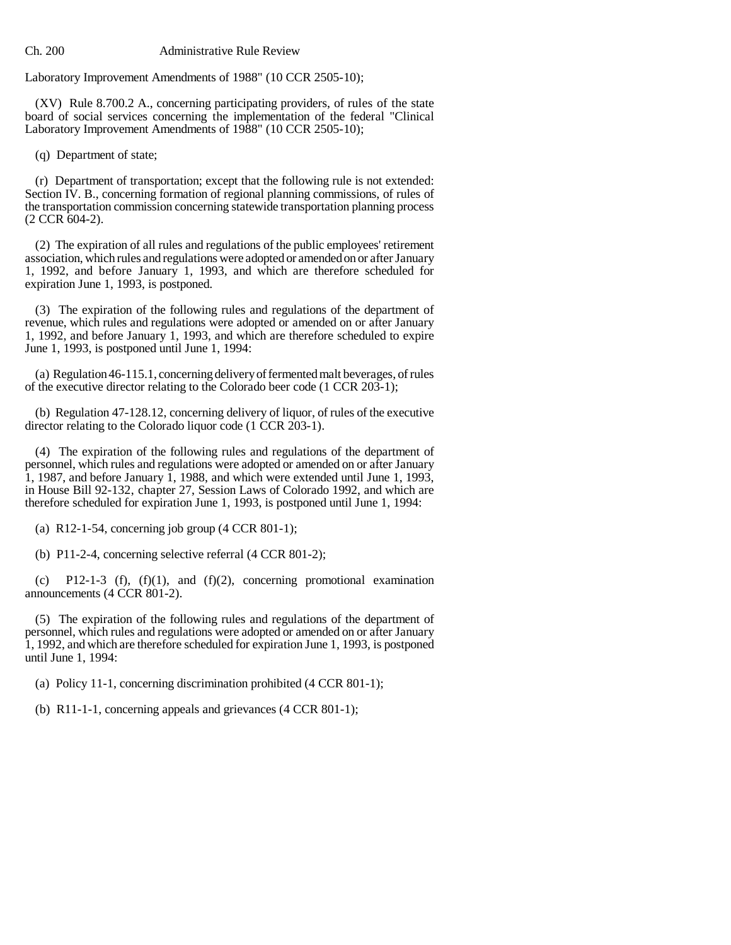Laboratory Improvement Amendments of 1988" (10 CCR 2505-10);

(XV) Rule 8.700.2 A., concerning participating providers, of rules of the state board of social services concerning the implementation of the federal "Clinical Laboratory Improvement Amendments of 1988" (10 CCR 2505-10);

(q) Department of state;

(r) Department of transportation; except that the following rule is not extended: Section IV. B., concerning formation of regional planning commissions, of rules of the transportation commission concerning statewide transportation planning process (2 CCR 604-2).

(2) The expiration of all rules and regulations of the public employees' retirement association, which rules and regulations were adopted or amended on or after January 1, 1992, and before January 1, 1993, and which are therefore scheduled for expiration June 1, 1993, is postponed.

(3) The expiration of the following rules and regulations of the department of revenue, which rules and regulations were adopted or amended on or after January 1, 1992, and before January 1, 1993, and which are therefore scheduled to expire June 1, 1993, is postponed until June 1, 1994:

(a) Regulation 46-115.1, concerning delivery of fermented malt beverages, of rules of the executive director relating to the Colorado beer code (1 CCR 203-1);

(b) Regulation 47-128.12, concerning delivery of liquor, of rules of the executive director relating to the Colorado liquor code (1 CCR 203-1).

(4) The expiration of the following rules and regulations of the department of personnel, which rules and regulations were adopted or amended on or after January  $\overline{1}$ , 1987, and before January  $\overline{1}$ , 1988, and which were extended until June 1, 1993, in House Bill 92-132, chapter 27, Session Laws of Colorado 1992, and which are therefore scheduled for expiration June 1, 1993, is postponed until June 1, 1994:

(a) R12-1-54, concerning job group  $(4 \text{ CCR } 801-1);$ 

(b) P11-2-4, concerning selective referral (4 CCR 801-2);

(c) P12-1-3 (f),  $(f)(1)$ , and  $(f)(2)$ , concerning promotional examination announcements (4 CCR 801-2).

(5) The expiration of the following rules and regulations of the department of personnel, which rules and regulations were adopted or amended on or after January 1, 1992, and which are therefore scheduled for expiration June 1, 1993, is postponed until June 1, 1994:

(a) Policy 11-1, concerning discrimination prohibited (4 CCR 801-1);

(b) R11-1-1, concerning appeals and grievances (4 CCR 801-1);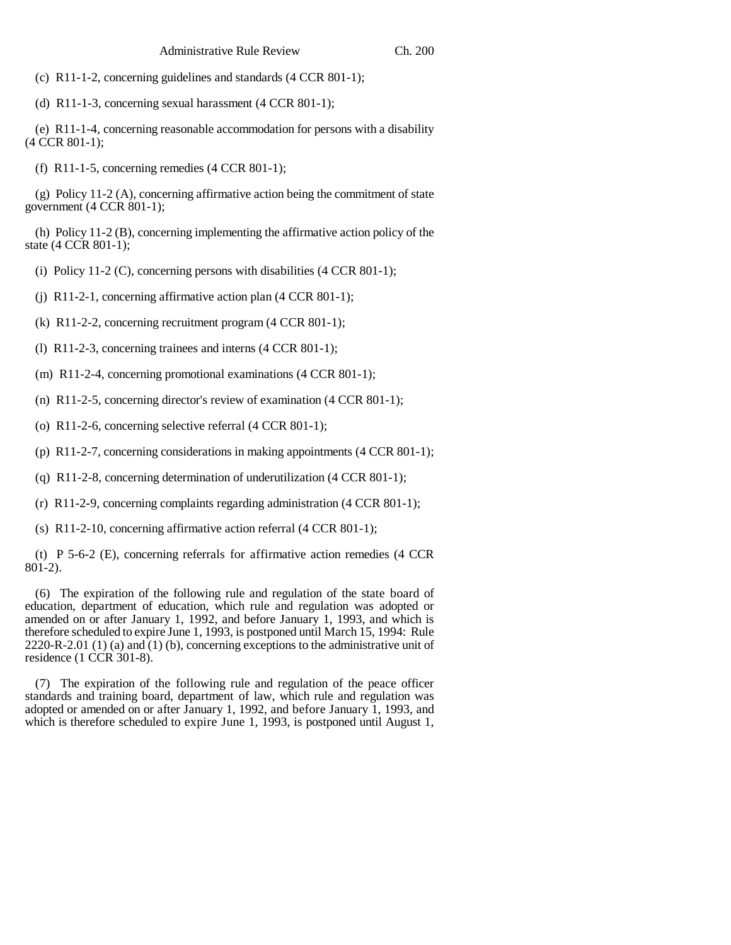(c) R11-1-2, concerning guidelines and standards (4 CCR 801-1);

(d) R11-1-3, concerning sexual harassment (4 CCR 801-1);

(e) R11-1-4, concerning reasonable accommodation for persons with a disability (4 CCR 801-1);

(f) R11-1-5, concerning remedies (4 CCR 801-1);

 $(g)$  Policy 11-2 (A), concerning affirmative action being the commitment of state government (4 CCR 801-1);

(h) Policy 11-2 (B), concerning implementing the affirmative action policy of the state (4 CCR 801-1);

(i) Policy 11-2  $(C)$ , concerning persons with disabilities  $(4 CCR 801-1);$ 

(j) R11-2-1, concerning affirmative action plan (4 CCR 801-1);

(k) R11-2-2, concerning recruitment program (4 CCR 801-1);

(l) R11-2-3, concerning trainees and interns (4 CCR 801-1);

(m) R11-2-4, concerning promotional examinations (4 CCR 801-1);

(n) R11-2-5, concerning director's review of examination (4 CCR 801-1);

(o) R11-2-6, concerning selective referral (4 CCR 801-1);

(p) R11-2-7, concerning considerations in making appointments (4 CCR 801-1);

(q) R11-2-8, concerning determination of underutilization (4 CCR 801-1);

(r) R11-2-9, concerning complaints regarding administration (4 CCR 801-1);

(s) R11-2-10, concerning affirmative action referral (4 CCR 801-1);

(t) P 5-6-2 (E), concerning referrals for affirmative action remedies (4 CCR 801-2).

(6) The expiration of the following rule and regulation of the state board of education, department of education, which rule and regulation was adopted or amended on or after January 1, 1992, and before January 1, 1993, and which is therefore scheduled to expire June 1, 1993, is postponed until March 15, 1994: Rule 2220-R-2.01 (1) (a) and (1) (b), concerning exceptions to the administrative unit of residence (1 CCR 301-8).

(7) The expiration of the following rule and regulation of the peace officer standards and training board, department of law, which rule and regulation was adopted or amended on or after January 1, 1992, and before January 1, 1993, and which is therefore scheduled to expire June 1, 1993, is postponed until August 1,